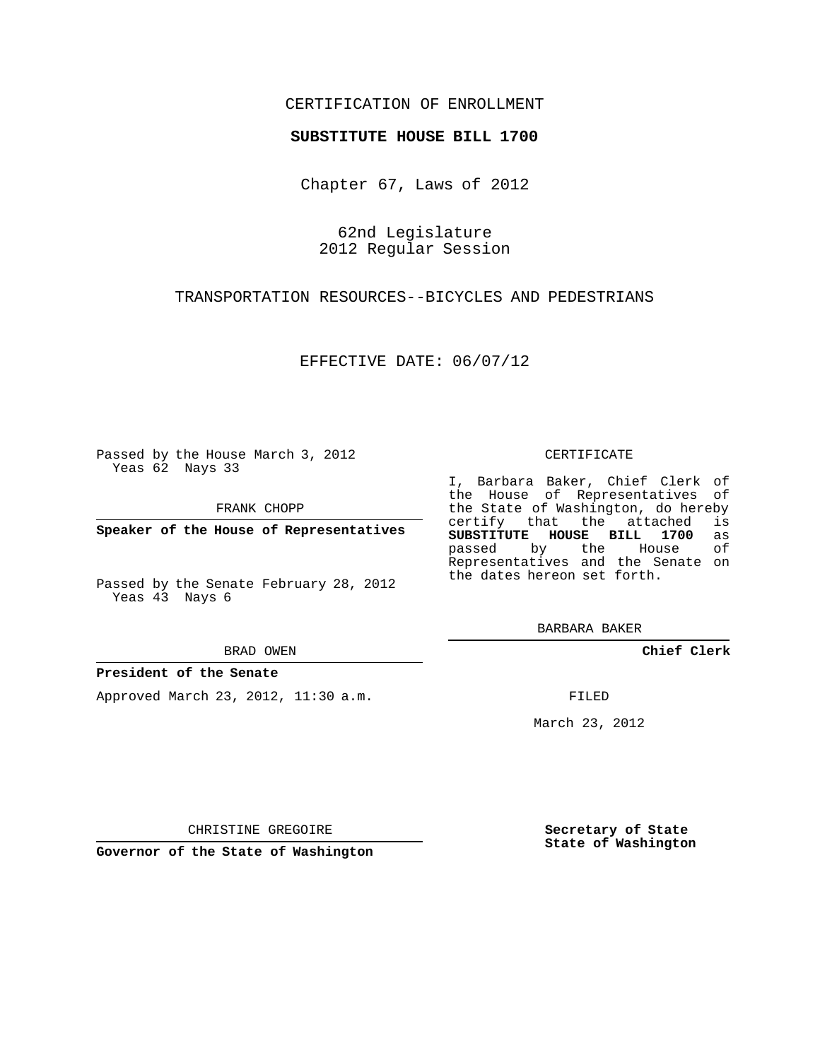# CERTIFICATION OF ENROLLMENT

## **SUBSTITUTE HOUSE BILL 1700**

Chapter 67, Laws of 2012

62nd Legislature 2012 Regular Session

TRANSPORTATION RESOURCES--BICYCLES AND PEDESTRIANS

EFFECTIVE DATE: 06/07/12

Passed by the House March 3, 2012 Yeas 62 Nays 33

FRANK CHOPP

**Speaker of the House of Representatives**

BRAD OWEN

### **President of the Senate**

Approved March 23, 2012, 11:30 a.m.

#### CERTIFICATE

I, Barbara Baker, Chief Clerk of the House of Representatives of the State of Washington, do hereby<br>certify that the attached is certify that the attached **SUBSTITUTE HOUSE BILL 1700** as passed by the House of Representatives and the Senate on the dates hereon set forth.

BARBARA BAKER

**Chief Clerk**

FILED

March 23, 2012

**Secretary of State State of Washington**

CHRISTINE GREGOIRE

**Governor of the State of Washington**

Passed by the Senate February 28, 2012 Yeas 43 Nays 6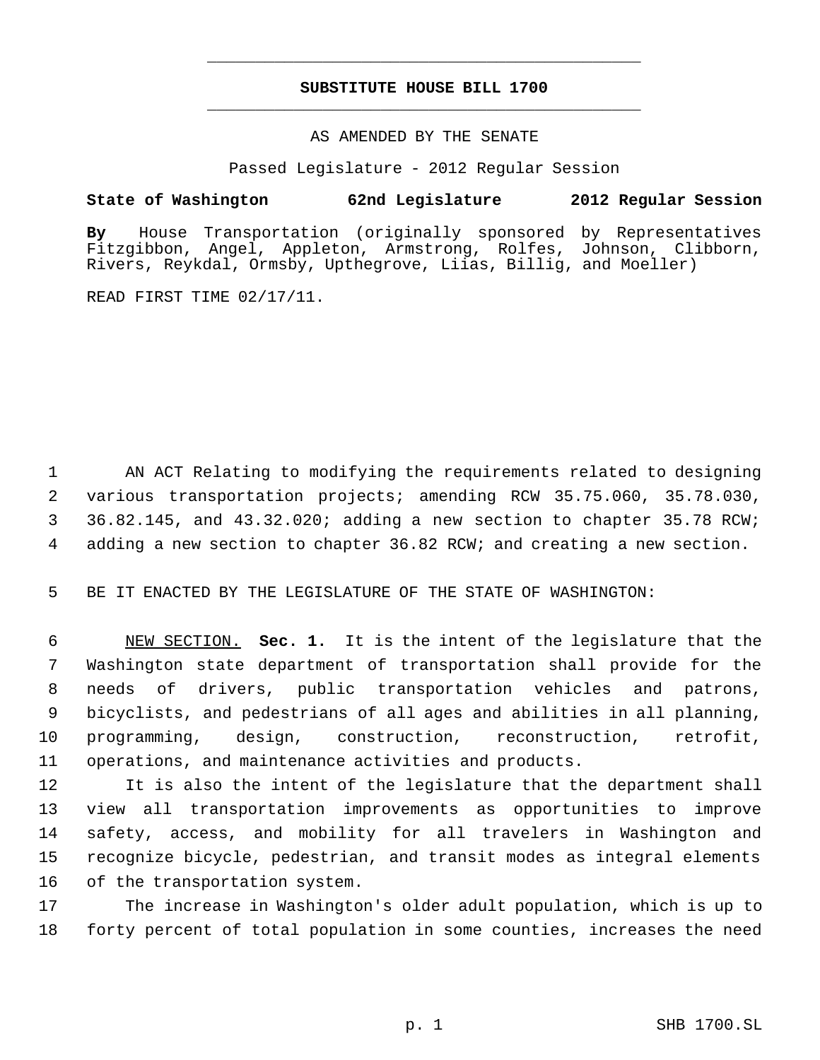# **SUBSTITUTE HOUSE BILL 1700** \_\_\_\_\_\_\_\_\_\_\_\_\_\_\_\_\_\_\_\_\_\_\_\_\_\_\_\_\_\_\_\_\_\_\_\_\_\_\_\_\_\_\_\_\_

\_\_\_\_\_\_\_\_\_\_\_\_\_\_\_\_\_\_\_\_\_\_\_\_\_\_\_\_\_\_\_\_\_\_\_\_\_\_\_\_\_\_\_\_\_

## AS AMENDED BY THE SENATE

Passed Legislature - 2012 Regular Session

# **State of Washington 62nd Legislature 2012 Regular Session**

**By** House Transportation (originally sponsored by Representatives Fitzgibbon, Angel, Appleton, Armstrong, Rolfes, Johnson, Clibborn, Rivers, Reykdal, Ormsby, Upthegrove, Liias, Billig, and Moeller)

READ FIRST TIME 02/17/11.

 AN ACT Relating to modifying the requirements related to designing various transportation projects; amending RCW 35.75.060, 35.78.030, 36.82.145, and 43.32.020; adding a new section to chapter 35.78 RCW; adding a new section to chapter 36.82 RCW; and creating a new section.

BE IT ENACTED BY THE LEGISLATURE OF THE STATE OF WASHINGTON:

 NEW SECTION. **Sec. 1.** It is the intent of the legislature that the Washington state department of transportation shall provide for the needs of drivers, public transportation vehicles and patrons, bicyclists, and pedestrians of all ages and abilities in all planning, programming, design, construction, reconstruction, retrofit, operations, and maintenance activities and products.

 It is also the intent of the legislature that the department shall view all transportation improvements as opportunities to improve safety, access, and mobility for all travelers in Washington and recognize bicycle, pedestrian, and transit modes as integral elements of the transportation system.

 The increase in Washington's older adult population, which is up to forty percent of total population in some counties, increases the need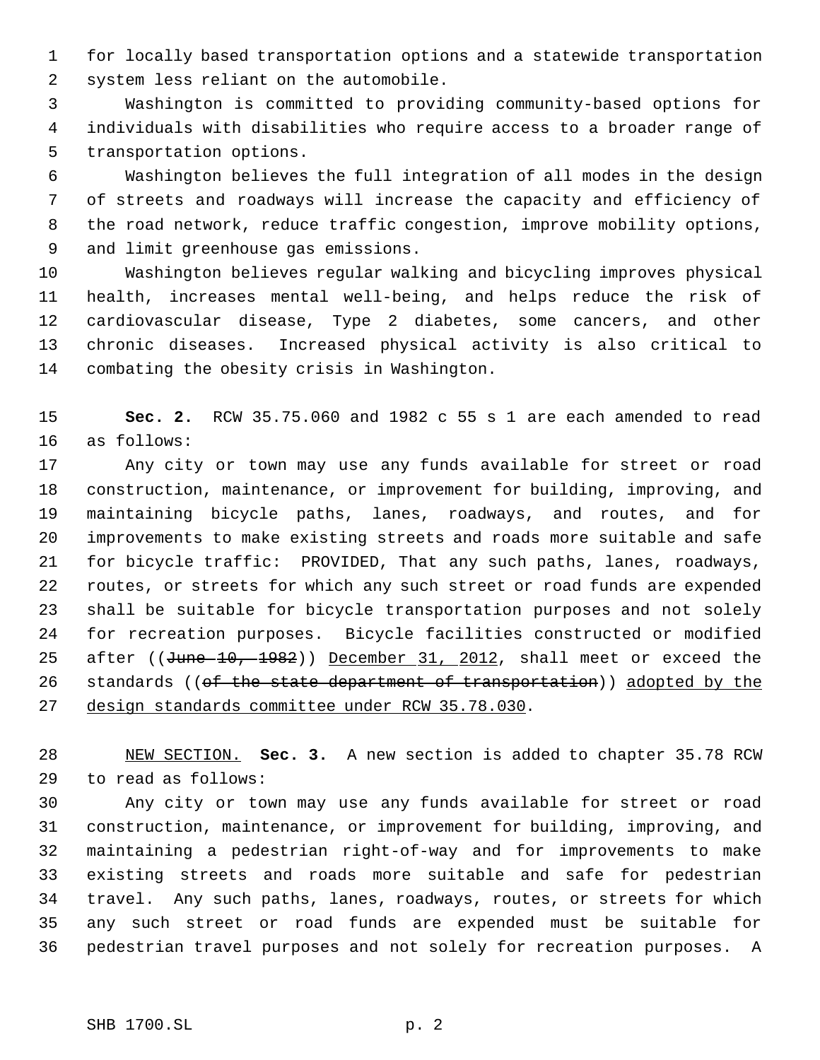for locally based transportation options and a statewide transportation system less reliant on the automobile.

 Washington is committed to providing community-based options for individuals with disabilities who require access to a broader range of transportation options.

 Washington believes the full integration of all modes in the design of streets and roadways will increase the capacity and efficiency of the road network, reduce traffic congestion, improve mobility options, and limit greenhouse gas emissions.

 Washington believes regular walking and bicycling improves physical health, increases mental well-being, and helps reduce the risk of cardiovascular disease, Type 2 diabetes, some cancers, and other chronic diseases. Increased physical activity is also critical to combating the obesity crisis in Washington.

 **Sec. 2.** RCW 35.75.060 and 1982 c 55 s 1 are each amended to read as follows:

 Any city or town may use any funds available for street or road construction, maintenance, or improvement for building, improving, and maintaining bicycle paths, lanes, roadways, and routes, and for improvements to make existing streets and roads more suitable and safe for bicycle traffic: PROVIDED, That any such paths, lanes, roadways, routes, or streets for which any such street or road funds are expended shall be suitable for bicycle transportation purposes and not solely for recreation purposes. Bicycle facilities constructed or modified 25 after ((June 10, 1982)) December 31, 2012, shall meet or exceed the 26 standards ((of the state department of transportation)) adopted by the design standards committee under RCW 35.78.030.

 NEW SECTION. **Sec. 3.** A new section is added to chapter 35.78 RCW to read as follows:

 Any city or town may use any funds available for street or road construction, maintenance, or improvement for building, improving, and maintaining a pedestrian right-of-way and for improvements to make existing streets and roads more suitable and safe for pedestrian travel. Any such paths, lanes, roadways, routes, or streets for which any such street or road funds are expended must be suitable for pedestrian travel purposes and not solely for recreation purposes. A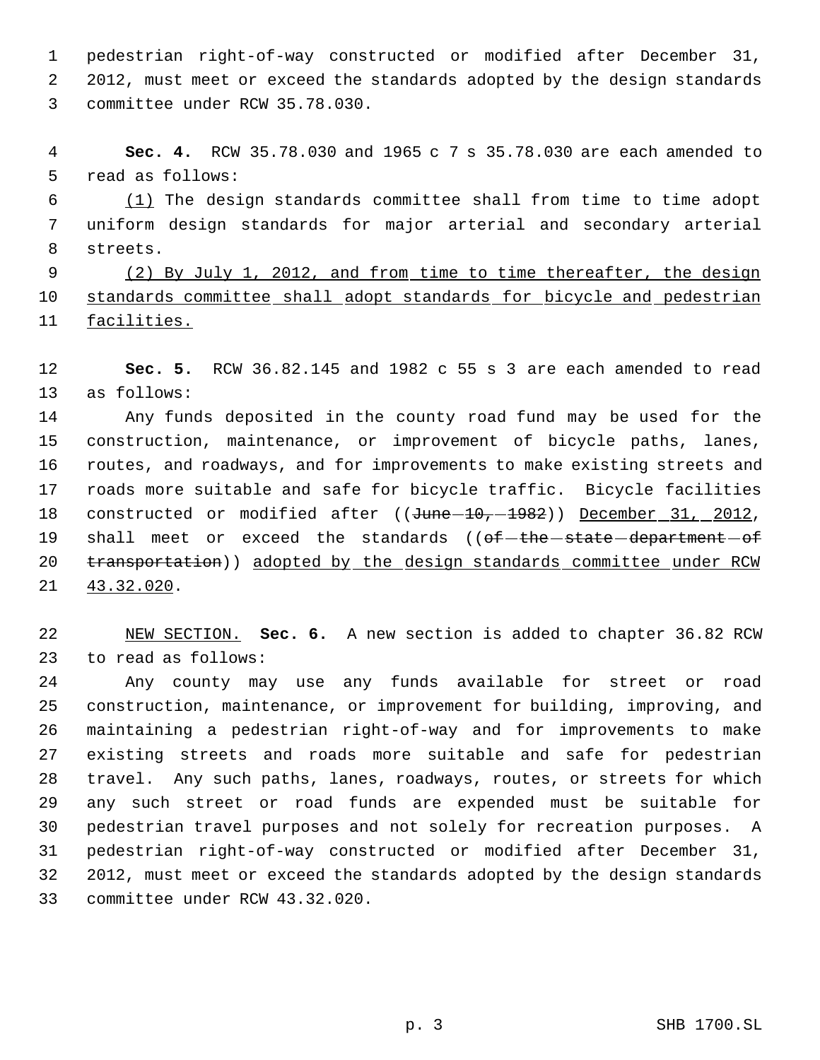pedestrian right-of-way constructed or modified after December 31, 2012, must meet or exceed the standards adopted by the design standards committee under RCW 35.78.030.

 **Sec. 4.** RCW 35.78.030 and 1965 c 7 s 35.78.030 are each amended to read as follows:

 (1) The design standards committee shall from time to time adopt uniform design standards for major arterial and secondary arterial streets.

9 (2) By July 1, 2012, and from time to time thereafter, the design standards committee shall adopt standards for bicycle and pedestrian facilities.

 **Sec. 5.** RCW 36.82.145 and 1982 c 55 s 3 are each amended to read as follows:

 Any funds deposited in the county road fund may be used for the construction, maintenance, or improvement of bicycle paths, lanes, routes, and roadways, and for improvements to make existing streets and roads more suitable and safe for bicycle traffic. Bicycle facilities 18 constructed or modified after ((June -10, -1982)) December 31, 2012, 19 shall meet or exceed the standards ((of-the state department of 20 transportation)) adopted by the design standards committee under RCW 43.32.020.

 NEW SECTION. **Sec. 6.** A new section is added to chapter 36.82 RCW to read as follows:

 Any county may use any funds available for street or road construction, maintenance, or improvement for building, improving, and maintaining a pedestrian right-of-way and for improvements to make existing streets and roads more suitable and safe for pedestrian travel. Any such paths, lanes, roadways, routes, or streets for which any such street or road funds are expended must be suitable for pedestrian travel purposes and not solely for recreation purposes. A pedestrian right-of-way constructed or modified after December 31, 2012, must meet or exceed the standards adopted by the design standards committee under RCW 43.32.020.